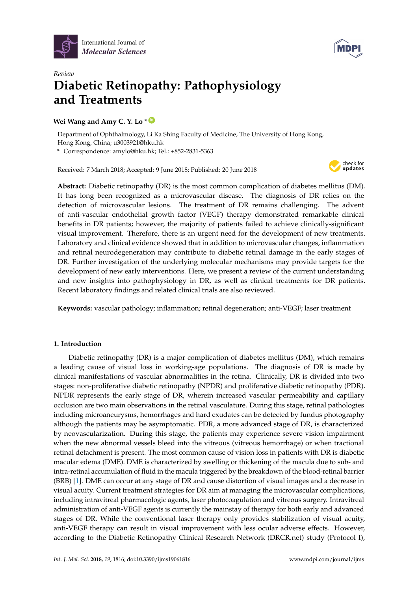



# *Review* **Diabetic Retinopathy: Pathophysiology and Treatments**

Wei Wang and Amy C. Y. Lo<sup>\*</sup>

Department of Ophthalmology, Li Ka Shing Faculty of Medicine, The University of Hong Kong, Hong Kong, China; u3003921@hku.hk

**\*** Correspondence: amylo@hku.hk; Tel.: +852-2831-5363

Received: 7 March 2018; Accepted: 9 June 2018; Published: 20 June 2018



**Abstract:** Diabetic retinopathy (DR) is the most common complication of diabetes mellitus (DM). It has long been recognized as a microvascular disease. The diagnosis of DR relies on the detection of microvascular lesions. The treatment of DR remains challenging. The advent of anti-vascular endothelial growth factor (VEGF) therapy demonstrated remarkable clinical benefits in DR patients; however, the majority of patients failed to achieve clinically-significant visual improvement. Therefore, there is an urgent need for the development of new treatments. Laboratory and clinical evidence showed that in addition to microvascular changes, inflammation and retinal neurodegeneration may contribute to diabetic retinal damage in the early stages of DR. Further investigation of the underlying molecular mechanisms may provide targets for the development of new early interventions. Here, we present a review of the current understanding and new insights into pathophysiology in DR, as well as clinical treatments for DR patients. Recent laboratory findings and related clinical trials are also reviewed.

**Keywords:** vascular pathology; inflammation; retinal degeneration; anti-VEGF; laser treatment

# **1. Introduction**

Diabetic retinopathy (DR) is a major complication of diabetes mellitus (DM), which remains a leading cause of visual loss in working-age populations. The diagnosis of DR is made by clinical manifestations of vascular abnormalities in the retina. Clinically, DR is divided into two stages: non-proliferative diabetic retinopathy (NPDR) and proliferative diabetic retinopathy (PDR). NPDR represents the early stage of DR, wherein increased vascular permeability and capillary occlusion are two main observations in the retinal vasculature. During this stage, retinal pathologies including microaneurysms, hemorrhages and hard exudates can be detected by fundus photography although the patients may be asymptomatic. PDR, a more advanced stage of DR, is characterized by neovascularization. During this stage, the patients may experience severe vision impairment when the new abnormal vessels bleed into the vitreous (vitreous hemorrhage) or when tractional retinal detachment is present. The most common cause of vision loss in patients with DR is diabetic macular edema (DME). DME is characterized by swelling or thickening of the macula due to sub- and intra-retinal accumulation of fluid in the macula triggered by the breakdown of the blood-retinal barrier (BRB) [\[1\]](#page-9-0). DME can occur at any stage of DR and cause distortion of visual images and a decrease in visual acuity. Current treatment strategies for DR aim at managing the microvascular complications, including intravitreal pharmacologic agents, laser photocoagulation and vitreous surgery. Intravitreal administration of anti-VEGF agents is currently the mainstay of therapy for both early and advanced stages of DR. While the conventional laser therapy only provides stabilization of visual acuity, anti-VEGF therapy can result in visual improvement with less ocular adverse effects. However, according to the Diabetic Retinopathy Clinical Research Network (DRCR.net) study (Protocol I),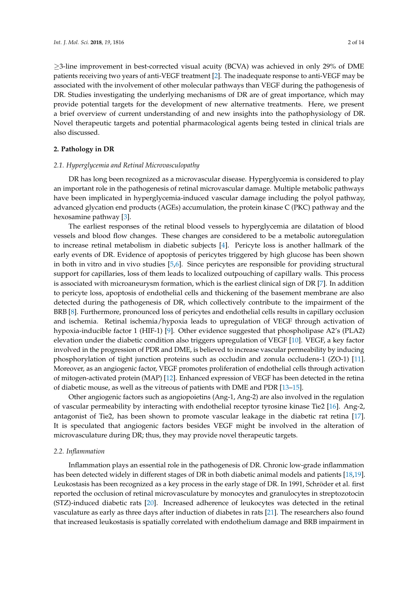≥3-line improvement in best-corrected visual acuity (BCVA) was achieved in only 29% of DME patients receiving two years of anti-VEGF treatment [\[2\]](#page-9-1). The inadequate response to anti-VEGF may be associated with the involvement of other molecular pathways than VEGF during the pathogenesis of DR. Studies investigating the underlying mechanisms of DR are of great importance, which may provide potential targets for the development of new alternative treatments. Here, we present a brief overview of current understanding of and new insights into the pathophysiology of DR. Novel therapeutic targets and potential pharmacological agents being tested in clinical trials are also discussed.

### **2. Pathology in DR**

#### <span id="page-1-0"></span>*2.1. Hyperglycemia and Retinal Microvasculopathy*

DR has long been recognized as a microvascular disease. Hyperglycemia is considered to play an important role in the pathogenesis of retinal microvascular damage. Multiple metabolic pathways have been implicated in hyperglycemia-induced vascular damage including the polyol pathway, advanced glycation end products (AGEs) accumulation, the protein kinase C (PKC) pathway and the hexosamine pathway [\[3\]](#page-9-2).

The earliest responses of the retinal blood vessels to hyperglycemia are dilatation of blood vessels and blood flow changes. These changes are considered to be a metabolic autoregulation to increase retinal metabolism in diabetic subjects [\[4\]](#page-9-3). Pericyte loss is another hallmark of the early events of DR. Evidence of apoptosis of pericytes triggered by high glucose has been shown in both in vitro and in vivo studies [\[5](#page-9-4)[,6\]](#page-9-5). Since pericytes are responsible for providing structural support for capillaries, loss of them leads to localized outpouching of capillary walls. This process is associated with microaneurysm formation, which is the earliest clinical sign of DR [\[7\]](#page-9-6). In addition to pericyte loss, apoptosis of endothelial cells and thickening of the basement membrane are also detected during the pathogenesis of DR, which collectively contribute to the impairment of the BRB [\[8\]](#page-9-7). Furthermore, pronounced loss of pericytes and endothelial cells results in capillary occlusion and ischemia. Retinal ischemia/hypoxia leads to upregulation of VEGF through activation of hypoxia-inducible factor 1 (HIF-1) [\[9\]](#page-9-8). Other evidence suggested that phospholipase A2's (PLA2) elevation under the diabetic condition also triggers upregulation of VEGF [\[10\]](#page-9-9). VEGF, a key factor involved in the progression of PDR and DME, is believed to increase vascular permeability by inducing phosphorylation of tight junction proteins such as occludin and zonula occludens-1 (ZO-1) [\[11\]](#page-10-0). Moreover, as an angiogenic factor, VEGF promotes proliferation of endothelial cells through activation of mitogen-activated protein (MAP) [\[12\]](#page-10-1). Enhanced expression of VEGF has been detected in the retina of diabetic mouse, as well as the vitreous of patients with DME and PDR [\[13–](#page-10-2)[15\]](#page-10-3).

Other angiogenic factors such as angiopoietins (Ang-1, Ang-2) are also involved in the regulation of vascular permeability by interacting with endothelial receptor tyrosine kinase Tie2 [\[16\]](#page-10-4). Ang-2, antagonist of Tie2, has been shown to promote vascular leakage in the diabetic rat retina [\[17\]](#page-10-5). It is speculated that angiogenic factors besides VEGF might be involved in the alteration of microvasculature during DR; thus, they may provide novel therapeutic targets.

#### *2.2. Inflammation*

Inflammation plays an essential role in the pathogenesis of DR. Chronic low-grade inflammation has been detected widely in different stages of DR in both diabetic animal models and patients [\[18](#page-10-6)[,19\]](#page-10-7). Leukostasis has been recognized as a key process in the early stage of DR. In 1991, Schröder et al. first reported the occlusion of retinal microvasculature by monocytes and granulocytes in streptozotocin (STZ)-induced diabetic rats [\[20\]](#page-10-8). Increased adherence of leukocytes was detected in the retinal vasculature as early as three days after induction of diabetes in rats [\[21\]](#page-10-9). The researchers also found that increased leukostasis is spatially correlated with endothelium damage and BRB impairment in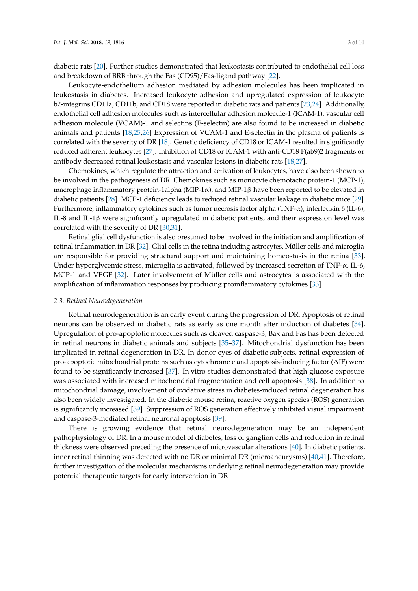diabetic rats [\[20\]](#page-10-8). Further studies demonstrated that leukostasis contributed to endothelial cell loss and breakdown of BRB through the Fas (CD95)/Fas-ligand pathway [\[22\]](#page-10-10).

Leukocyte-endothelium adhesion mediated by adhesion molecules has been implicated in leukostasis in diabetes. Increased leukocyte adhesion and upregulated expression of leukocyte b2-integrins CD11a, CD11b, and CD18 were reported in diabetic rats and patients [\[23,](#page-10-11)[24\]](#page-10-12). Additionally, endothelial cell adhesion molecules such as intercellular adhesion molecule-1 (ICAM-1), vascular cell adhesion molecule (VCAM)-1 and selectins (E-selectin) are also found to be increased in diabetic animals and patients [\[18](#page-10-6)[,25](#page-10-13)[,26\]](#page-10-14) Expression of VCAM-1 and E-selectin in the plasma of patients is correlated with the severity of DR [\[18\]](#page-10-6). Genetic deficiency of CD18 or ICAM-1 resulted in significantly reduced adherent leukocytes [\[27\]](#page-10-15). Inhibition of CD18 or ICAM-1 with anti-CD18 F(ab9)2 fragments or antibody decreased retinal leukostasis and vascular lesions in diabetic rats [\[18,](#page-10-6)[27\]](#page-10-15).

Chemokines, which regulate the attraction and activation of leukocytes, have also been shown to be involved in the pathogenesis of DR. Chemokines such as monocyte chemotactic protein-1 (MCP-1), macrophage inflammatory protein-1alpha (MIP-1 $\alpha$ ), and MIP-1 $\beta$  have been reported to be elevated in diabetic patients [\[28\]](#page-11-0). MCP-1 deficiency leads to reduced retinal vascular leakage in diabetic mice [\[29\]](#page-11-1). Furthermore, inflammatory cytokines such as tumor necrosis factor alpha (TNF-α), interleukin 6 (IL-6), IL-8 and IL-1β were significantly upregulated in diabetic patients, and their expression level was correlated with the severity of DR [\[30](#page-11-2)[,31\]](#page-11-3).

Retinal glial cell dysfunction is also presumed to be involved in the initiation and amplification of retinal inflammation in DR [\[32\]](#page-11-4). Glial cells in the retina including astrocytes, Müller cells and microglia are responsible for providing structural support and maintaining homeostasis in the retina [\[33\]](#page-11-5). Under hyperglycemic stress, microglia is activated, followed by increased secretion of TNF- $\alpha$ , IL-6, MCP-1 and VEGF [\[32\]](#page-11-4). Later involvement of Müller cells and astrocytes is associated with the amplification of inflammation responses by producing proinflammatory cytokines [\[33\]](#page-11-5).

#### *2.3. Retinal Neurodegeneration*

Retinal neurodegeneration is an early event during the progression of DR. Apoptosis of retinal neurons can be observed in diabetic rats as early as one month after induction of diabetes [\[34\]](#page-11-6). Upregulation of pro-apoptotic molecules such as cleaved caspase-3, Bax and Fas has been detected in retinal neurons in diabetic animals and subjects [\[35](#page-11-7)[–37\]](#page-11-8). Mitochondrial dysfunction has been implicated in retinal degeneration in DR. In donor eyes of diabetic subjects, retinal expression of pro-apoptotic mitochondrial proteins such as cytochrome c and apoptosis-inducing factor (AIF) were found to be significantly increased [\[37\]](#page-11-8). In vitro studies demonstrated that high glucose exposure was associated with increased mitochondrial fragmentation and cell apoptosis [\[38\]](#page-11-9). In addition to mitochondrial damage, involvement of oxidative stress in diabetes-induced retinal degeneration has also been widely investigated. In the diabetic mouse retina, reactive oxygen species (ROS) generation is significantly increased [\[39\]](#page-11-10). Suppression of ROS generation effectively inhibited visual impairment and caspase-3-mediated retinal neuronal apoptosis [\[39\]](#page-11-10).

There is growing evidence that retinal neurodegeneration may be an independent pathophysiology of DR. In a mouse model of diabetes, loss of ganglion cells and reduction in retinal thickness were observed preceding the presence of microvascular alterations [\[40\]](#page-11-11). In diabetic patients, inner retinal thinning was detected with no DR or minimal DR (microaneurysms) [\[40](#page-11-11)[,41\]](#page-11-12). Therefore, further investigation of the molecular mechanisms underlying retinal neurodegeneration may provide potential therapeutic targets for early intervention in DR.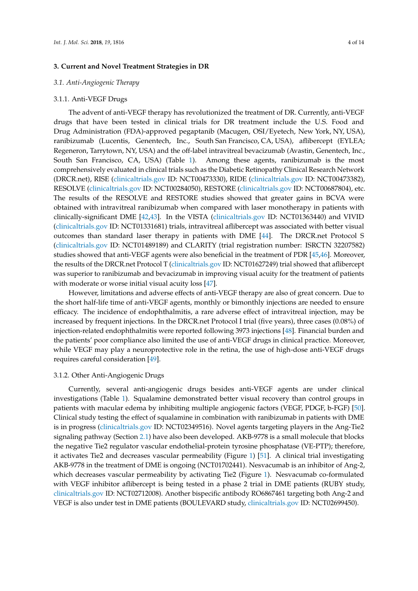# **3. Current and Novel Treatment Strategies in DR**

# *3.1. Anti-Angiogenic Therapy*

# 3.1.1. Anti-VEGF Drugs

The advent of anti-VEGF therapy has revolutionized the treatment of DR. Currently, anti-VEGF drugs that have been tested in clinical trials for DR treatment include the U.S. Food and Drug Administration (FDA)-approved pegaptanib (Macugen, OSI/Eyetech, New York, NY, USA), ranibizumab (Lucentis, Genentech, Inc., South San Francisco, CA, USA), aflibercept (EYLEA; Regeneron, Tarrytown, NY, USA) and the off-label intravitreal bevacizumab (Avastin, Genentech, Inc., South San Francisco, CA, USA) (Table [1\)](#page-4-0). Among these agents, ranibizumab is the most comprehensively evaluated in clinical trials such as the Diabetic Retinopathy Clinical Research Network (DRCR.net), RISE [\(clinicaltrials.gov](clinicaltrials.gov) ID: NCT00473330), RIDE [\(clinicaltrials.gov](clinicaltrials.gov) ID: NCT00473382), RESOLVE [\(clinicaltrials.gov](clinicaltrials.gov) ID: NCT00284050), RESTORE [\(clinicaltrials.gov](clinicaltrials.gov) ID: NCT00687804), etc. The results of the RESOLVE and RESTORE studies showed that greater gains in BCVA were obtained with intravitreal ranibizumab when compared with laser monotherapy in patients with clinically-significant DME [\[42](#page-11-13)[,43\]](#page-11-14). In the VISTA [\(clinicaltrials.gov](clinicaltrials.gov) ID: NCT01363440) and VIVID [\(clinicaltrials.gov](clinicaltrials.gov) ID: NCT01331681) trials, intravitreal aflibercept was associated with better visual outcomes than standard laser therapy in patients with DME [\[44\]](#page-11-15). The DRCR.net Protocol S [\(clinicaltrials.gov](clinicaltrials.gov) ID: NCT01489189) and CLARITY (trial registration number: ISRCTN 32207582) studies showed that anti-VEGF agents were also beneficial in the treatment of PDR [\[45,](#page-12-0)[46\]](#page-12-1). Moreover, the results of the DRCR.net Protocol T [\(clinicaltrials.gov](clinicaltrials.gov) ID: NCT01627249) trial showed that aflibercept was superior to ranibizumab and bevacizumab in improving visual acuity for the treatment of patients with moderate or worse initial visual acuity loss [\[47\]](#page-12-2).

However, limitations and adverse effects of anti-VEGF therapy are also of great concern. Due to the short half-life time of anti-VEGF agents, monthly or bimonthly injections are needed to ensure efficacy. The incidence of endophthalmitis, a rare adverse effect of intravitreal injection, may be increased by frequent injections. In the DRCR.net Protocol I trial (five years), three cases (0.08%) of injection-related endophthalmitis were reported following 3973 injections [\[48\]](#page-12-3). Financial burden and the patients' poor compliance also limited the use of anti-VEGF drugs in clinical practice. Moreover, while VEGF may play a neuroprotective role in the retina, the use of high-dose anti-VEGF drugs requires careful consideration [\[49\]](#page-12-4).

#### <span id="page-3-0"></span>3.1.2. Other Anti-Angiogenic Drugs

Currently, several anti-angiogenic drugs besides anti-VEGF agents are under clinical investigations (Table [1\)](#page-4-0). Squalamine demonstrated better visual recovery than control groups in patients with macular edema by inhibiting multiple angiogenic factors (VEGF, PDGF, b-FGF) [\[50\]](#page-12-5). Clinical study testing the effect of squalamine in combination with ranibizumab in patients with DME is in progress [\(clinicaltrials.gov](clinicaltrials.gov) ID: NCT02349516). Novel agents targeting players in the Ang-Tie2 signaling pathway (Section [2.1\)](#page-1-0) have also been developed. AKB-9778 is a small molecule that blocks the negative Tie2 regulator vascular endothelial-protein tyrosine phosphatase (VE-PTP); therefore, it activates Tie2 and decreases vascular permeability (Figure [1\)](#page-4-1) [\[51\]](#page-12-6). A clinical trial investigating AKB-9778 in the treatment of DME is ongoing (NCT01702441). Nesvacumab is an inhibitor of Ang-2, which decreases vascular permeability by activating Tie2 (Figure [1\)](#page-4-1). Nesvacumab co-formulated with VEGF inhibitor aflibercept is being tested in a phase 2 trial in DME patients (RUBY study, <clinicaltrials.gov> ID: NCT02712008). Another bispecific antibody RO6867461 targeting both Ang-2 and VEGF is also under test in DME patients (BOULEVARD study, <clinicaltrials.gov> ID: NCT02699450).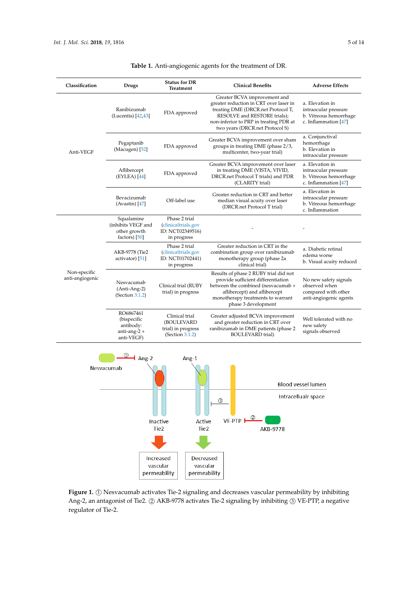| Classification                   | Drugs                                                                  | <b>Status for DR</b><br>Treatment                                              | <b>Clinical Benefits</b>                                                                                                                                                                                                  | <b>Adverse Effects</b>                                                                    |  |
|----------------------------------|------------------------------------------------------------------------|--------------------------------------------------------------------------------|---------------------------------------------------------------------------------------------------------------------------------------------------------------------------------------------------------------------------|-------------------------------------------------------------------------------------------|--|
| Anti-VEGF                        | Ranibizumab<br>(Lucentis) [42,43]                                      | FDA approved                                                                   | Greater BCVA improvement and<br>greater reduction in CRT over laser in<br>treating DME (DRCR.net Protocol T,<br>RESOLVE and RESTORE trials);<br>non-inferior to PRP in treating PDR at<br>two years (DRCR.net Protocol S) | a. Elevation in<br>intraocular pressure<br>b. Vitreous hemorrhage<br>c. Inflammation [47] |  |
|                                  | Pegaptanib<br>(Macugen) [52]                                           | FDA approved                                                                   | Greater BCVA improvement over sham<br>groups in treating DME (phase 2/3,<br>multicenter, two-year trial)                                                                                                                  | a. Conjunctival<br>hemorrhage<br>b. Elevation in<br>intraocular pressure                  |  |
|                                  | Aflibercept<br>$(EYLEA)$ [44]                                          | FDA approved                                                                   | Greater BCVA improvement over laser<br>in treating DME (VISTA, VIVID,<br>DRCR.net Protocol T trials) and PDR<br>(CLARITY trial)                                                                                           | a. Elevation in<br>intraocular pressure<br>b. Vitreous hemorrhage<br>c. Inflammation [47] |  |
|                                  | Bevacizumab<br>$(Avastin)$ [47]                                        | Off-label use                                                                  | Greater reduction in CRT and better<br>median visual acuity over laser<br>(DRCR.net Protocol T trial)                                                                                                                     | a. Elevation in<br>intraocular pressure<br>b. Vitreous hemorrhage<br>c. Inflammation      |  |
| Non-specific<br>anti-angiogenic  | Squalamine<br>(inhibits VEGF and<br>other growth<br>factors) $[50]$    | Phase 2 trial<br>(clinicaltrials.gov<br>ID: NCT02349516)<br>in progress        |                                                                                                                                                                                                                           |                                                                                           |  |
|                                  | AKB-9778 (Tie2<br>activator) $[51]$                                    | Phase 2 trial<br>(clinicaltrials.gov<br>ID: NCT01702441)<br>in progress        | Greater reduction in CRT in the<br>combination group over ranibizumab<br>monotherapy group (phase 2a<br>clinical trial)                                                                                                   | a. Diabetic retinal<br>edema worse<br>b. Visual acuity reduced                            |  |
|                                  | Nesvacumab<br>(Anti-Ang-2)<br>(Section 3.1.2)                          | Clinical trial (RUBY<br>trial) in progress                                     | Results of phase 2 RUBY trial did not<br>provide sufficient differentiation<br>between the combined (nesvacumab +<br>aflibercept) and aflibercept<br>monotherapy treatments to warrant<br>phase 3 development             | No new safety signals<br>observed when<br>compared with other<br>anti-angiogenic agents   |  |
|                                  | RO6867461<br>(bispecific<br>antibody:<br>anti-ang- $2 +$<br>anti-VEGF) | Clinical trial<br>(BOULEVARD<br>trial) in progress<br>(Section 3.1.2)          | Greater adjusted BCVA improvement<br>and greater reduction in CRT over<br>ranibizumab in DME patients (phase 2<br>BOULEVARD trial)                                                                                        | Well tolerated with no<br>new safety<br>signals observed                                  |  |
|                                  | $Amg-2$<br>Ang-1                                                       |                                                                                |                                                                                                                                                                                                                           |                                                                                           |  |
| Nesvacumab<br>Blood vessel lumen |                                                                        |                                                                                |                                                                                                                                                                                                                           |                                                                                           |  |
| Intracellualr space<br>◑         |                                                                        |                                                                                |                                                                                                                                                                                                                           |                                                                                           |  |
|                                  |                                                                        | Active<br>Inactive<br>Tie2<br>Tie2                                             | $^{\circ}$<br>VE-PTP <sup>L</sup><br>AKB-9778                                                                                                                                                                             |                                                                                           |  |
|                                  |                                                                        |                                                                                |                                                                                                                                                                                                                           |                                                                                           |  |
|                                  |                                                                        | Decreased<br>Increased<br>vascular<br>vascular<br>permeability<br>permeability |                                                                                                                                                                                                                           |                                                                                           |  |

# <span id="page-4-0"></span>**Table 1.** Anti-angiogenic agents for the treatment of DR.

<span id="page-4-1"></span>**Figure 1.** ① Nesvacumab activates Tie-2 signaling and decreases vascular permeability by inhibiting Ang-2, an antagonist of Tie2. ② AKB-9778 activates Tie-2 signaling by inhibiting ③ VE-PTP, a negative regulator of Tie-2.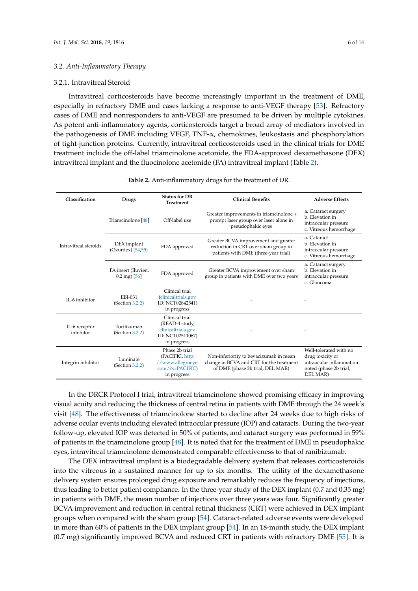#### *3.2. Anti-Inflammatory Therapy*

#### 3.2.1. Intravitreal Steroid

Intravitreal corticosteroids have become increasingly important in the treatment of DME, especially in refractory DME and cases lacking a response to anti-VEGF therapy [\[53\]](#page-12-8). Refractory cases of DME and nonresponders to anti-VEGF are presumed to be driven by multiple cytokines. As potent anti-inflammatory agents, corticosteroids target a broad array of mediators involved in the pathogenesis of DME including VEGF, TNF-α, chemokines, leukostasis and phosphorylation of tight-junction proteins. Currently, intravitreal corticosteroids used in the clinical trials for DME treatment include the off-label triamcinolone acetonide, the FDA-approved dexamethasone (DEX) intravitreal implant and the fluocinolone acetonide (FA) intravitreal implant (Table [2\)](#page-5-0).

<span id="page-5-0"></span>

| Classification             | Drugs                                          | <b>Status for DR</b><br><b>Treatment</b>                                                    | <b>Clinical Benefits</b>                                                                                               | <b>Adverse Effects</b>                                                                                       |
|----------------------------|------------------------------------------------|---------------------------------------------------------------------------------------------|------------------------------------------------------------------------------------------------------------------------|--------------------------------------------------------------------------------------------------------------|
| Intravitreal steroids      | Triamcinolone [48]                             | Off-label use                                                                               | Greater improvements in triamcinolone +<br>prompt laser group over laser alone in<br>pseudophakic eyes                 | a. Cataract surgery<br>b. Elevation in<br>intraocular pressure<br>c. Vitreous hemorrhage                     |
|                            | DEX implant<br>(Ozurdex) [54,55]               | FDA approved                                                                                | Greater BCVA improvement and greater<br>reduction in CRT over sham group in<br>patients with DME (three-year trial)    | a. Cataract<br>b. Elevation in<br>intraocular pressure<br>c. Vitreous hemorrhage                             |
|                            | FA insert (Iluvien,<br>$0.2 \text{ mg}$ ) [56] | FDA approved                                                                                | Greater BCVA improvement over sham<br>group in patients with DME over two years                                        | a. Cataract surgery<br>b. Elevation in<br>intraocular pressure<br>c. Glaucoma                                |
| II-6 inhibitor             | EBI-031<br>(Section 3.2.2)                     | Clinical trial<br>(clinicaltrials.gov<br>ID: NCT02842541)<br>in progress                    |                                                                                                                        |                                                                                                              |
| IL-6 receptor<br>inhibitor | Tocilizumab<br>(Section 3.2.2)                 | Clinical trial<br>(READ-4 study,<br>clinicaltrials.gov<br>ID: NCT02511067)<br>in progress   |                                                                                                                        |                                                                                                              |
| Integrin inhibitor         | Luminate<br>(Section 3.2.2)                    | Phase 2b trial<br>(PACIFIC, http:<br>//www.allegroeye.<br>$com$ /?s=PACIFIC)<br>in progress | Non-inferiority to bevacizumab in mean<br>change in BCVA and CRT for the treatment<br>of DME (phase 2b trial, DEL MAR) | Well-tolerated with no<br>drug toxicity or<br>intraocular inflammation<br>noted (phase 2b trial,<br>DEL MAR) |

In the DRCR Protocol I trial, intravitreal triamcinolone showed promising efficacy in improving visual acuity and reducing the thickness of central retina in patients with DME through the 24 week's visit [\[48\]](#page-12-3). The effectiveness of triamcinolone started to decline after 24 weeks due to high risks of adverse ocular events including elevated intraocular pressure (IOP) and cataracts. During the two-year follow-up, elevated IOP was detected in 50% of patients, and cataract surgery was performed in 59% of patients in the triamcinolone group [\[48\]](#page-12-3). It is noted that for the treatment of DME in pseudophakic eyes, intravitreal triamcinolone demonstrated comparable effectiveness to that of ranibizumab.

The DEX intravitreal implant is a biodegradable delivery system that releases corticosteroids into the vitreous in a sustained manner for up to six months. The utility of the dexamethasone delivery system ensures prolonged drug exposure and remarkably reduces the frequency of injections, thus leading to better patient compliance. In the three-year study of the DEX implant (0.7 and 0.35 mg) in patients with DME, the mean number of injections over three years was four. Significantly greater BCVA improvement and reduction in central retinal thickness (CRT) were achieved in DEX implant groups when compared with the sham group [\[54\]](#page-12-9). Cataract-related adverse events were developed in more than 60% of patients in the DEX implant group [\[54\]](#page-12-9). In an 18-month study, the DEX implant (0.7 mg) significantly improved BCVA and reduced CRT in patients with refractory DME [\[55\]](#page-12-10). It is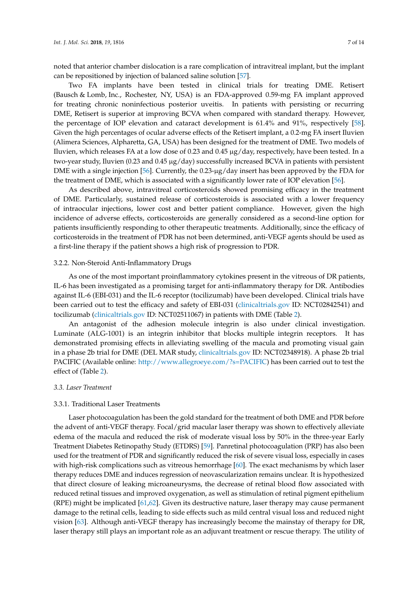noted that anterior chamber dislocation is a rare complication of intravitreal implant, but the implant can be repositioned by injection of balanced saline solution [\[57\]](#page-12-12).

Two FA implants have been tested in clinical trials for treating DME. Retisert (Bausch & Lomb, Inc., Rochester, NY, USA) is an FDA-approved 0.59-mg FA implant approved for treating chronic noninfectious posterior uveitis. In patients with persisting or recurring DME, Retisert is superior at improving BCVA when compared with standard therapy. However, the percentage of IOP elevation and cataract development is 61.4% and 91%, respectively [\[58\]](#page-12-13). Given the high percentages of ocular adverse effects of the Retisert implant, a 0.2-mg FA insert Iluvien (Alimera Sciences, Alpharetta, GA, USA) has been designed for the treatment of DME. Two models of Iluvien, which releases FA at a low dose of 0.23 and 0.45 µg/day, respectively, have been tested. In a two-year study, Iluvien (0.23 and 0.45 µg/day) successfully increased BCVA in patients with persistent DME with a single injection [\[56\]](#page-12-11). Currently, the 0.23-µg/day insert has been approved by the FDA for the treatment of DME, which is associated with a significantly lower rate of IOP elevation [\[56\]](#page-12-11).

As described above, intravitreal corticosteroids showed promising efficacy in the treatment of DME. Particularly, sustained release of corticosteroids is associated with a lower frequency of intraocular injections, lower cost and better patient compliance. However, given the high incidence of adverse effects, corticosteroids are generally considered as a second-line option for patients insufficiently responding to other therapeutic treatments. Additionally, since the efficacy of corticosteroids in the treatment of PDR has not been determined, anti-VEGF agents should be used as a first-line therapy if the patient shows a high risk of progression to PDR.

#### <span id="page-6-0"></span>3.2.2. Non-Steroid Anti-Inflammatory Drugs

As one of the most important proinflammatory cytokines present in the vitreous of DR patients, IL-6 has been investigated as a promising target for anti-inflammatory therapy for DR. Antibodies against IL-6 (EBI-031) and the IL-6 receptor (tocilizumab) have been developed. Clinical trials have been carried out to test the efficacy and safety of EBI-031 [\(clinicaltrials.gov](clinicaltrials.gov) ID: NCT02842541) and tocilizumab [\(clinicaltrials.gov](clinicaltrials.gov) ID: NCT02511067) in patients with DME (Table [2\)](#page-5-0).

An antagonist of the adhesion molecule integrin is also under clinical investigation. Luminate (ALG-1001) is an integrin inhibitor that blocks multiple integrin receptors. It has demonstrated promising effects in alleviating swelling of the macula and promoting visual gain in a phase 2b trial for DME (DEL MAR study, <clinicaltrials.gov> ID: NCT02348918). A phase 2b trial PACIFIC (Available online: [http://www.allegroeye.com/?s=PACIFIC\)](http://www.allegroeye.com/?s=PACIFIC) has been carried out to test the effect of (Table [2\)](#page-5-0).

#### *3.3. Laser Treatment*

#### 3.3.1. Traditional Laser Treatments

Laser photocoagulation has been the gold standard for the treatment of both DME and PDR before the advent of anti-VEGF therapy. Focal/grid macular laser therapy was shown to effectively alleviate edema of the macula and reduced the risk of moderate visual loss by 50% in the three-year Early Treatment Diabetes Retinopathy Study (ETDRS) [\[59\]](#page-12-14). Panretinal photocoagulation (PRP) has also been used for the treatment of PDR and significantly reduced the risk of severe visual loss, especially in cases with high-risk complications such as vitreous hemorrhage [\[60\]](#page-12-15). The exact mechanisms by which laser therapy reduces DME and induces regression of neovascularization remains unclear. It is hypothesized that direct closure of leaking microaneurysms, the decrease of retinal blood flow associated with reduced retinal tissues and improved oxygenation, as well as stimulation of retinal pigment epithelium (RPE) might be implicated [\[61](#page-12-16)[,62\]](#page-12-17). Given its destructive nature, laser therapy may cause permanent damage to the retinal cells, leading to side effects such as mild central visual loss and reduced night vision [\[63\]](#page-13-0). Although anti-VEGF therapy has increasingly become the mainstay of therapy for DR, laser therapy still plays an important role as an adjuvant treatment or rescue therapy. The utility of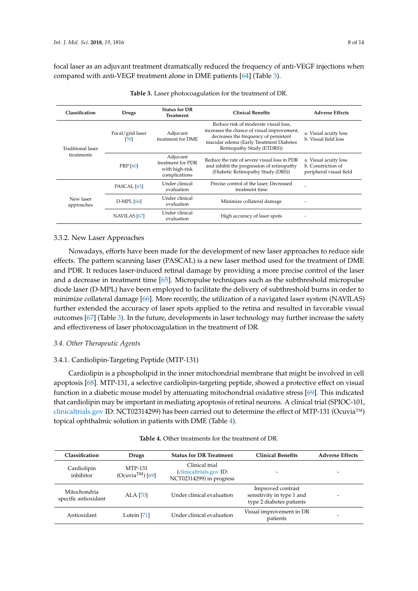focal laser as an adjuvant treatment dramatically reduced the frequency of anti-VEGF injections when compared with anti-VEGF treatment alone in DME patients [\[64\]](#page-13-1) (Table [3\)](#page-7-0).

<span id="page-7-0"></span>

| Classification                  | Drugs                    | <b>Status for DR</b><br>Treatment                                | <b>Clinical Benefits</b>                                                                                                                                                                              | <b>Adverse Effects</b>                                                 |
|---------------------------------|--------------------------|------------------------------------------------------------------|-------------------------------------------------------------------------------------------------------------------------------------------------------------------------------------------------------|------------------------------------------------------------------------|
| Traditional laser<br>treatments | Focal/grid laser<br>[59] | Adjuvant<br>treatment for DME                                    | Reduce risk of moderate visual loss.<br>increases the chance of visual improvement,<br>decreases the frequency of persistent<br>macular edema (Early Treatment Diabetes<br>Retinopathy Study (ETDRS)) | a. Visual acuity loss<br>b. Visual field loss                          |
|                                 | <b>PRP</b> [60]          | Adjuvant<br>treatment for PDR<br>with high-risk<br>complications | Reduce the rate of severe visual loss in PDR<br>and inhibit the progression of retinopathy<br>(Diabetic Retinopathy Study (DRS))                                                                      | a. Visual acuity loss<br>b. Constriction of<br>peripheral visual field |
|                                 | PASCAL <sup>[65]</sup>   | Under clinical<br>evaluation                                     | Precise control of the laser; Decreased<br>treatment time                                                                                                                                             |                                                                        |
| New laser<br>approaches         | $D-MPL$ [66]             | Under clinical<br>evaluation                                     | Minimize collateral damage                                                                                                                                                                            |                                                                        |
|                                 | NAVILAS <sup>[67]</sup>  | Under clinical<br>evaluation                                     | High accuracy of laser spots                                                                                                                                                                          |                                                                        |

# 3.3.2. New Laser Approaches

Nowadays, efforts have been made for the development of new laser approaches to reduce side effects. The pattern scanning laser (PASCAL) is a new laser method used for the treatment of DME and PDR. It reduces laser-induced retinal damage by providing a more precise control of the laser and a decrease in treatment time [\[65\]](#page-13-2). Micropulse techniques such as the subthreshold micropulse diode laser (D-MPL) have been employed to facilitate the delivery of subthreshold burns in order to minimize collateral damage [\[66\]](#page-13-3). More recently, the utilization of a navigated laser system (NAVILAS) further extended the accuracy of laser spots applied to the retina and resulted in favorable visual outcomes [\[67\]](#page-13-4) (Table [3\)](#page-7-0). In the future, developments in laser technology may further increase the safety and effectiveness of laser photocoagulation in the treatment of DR.

#### *3.4. Other Therapeutic Agents*

#### 3.4.1. Cardiolipin-Targeting Peptide (MTP-131)

Cardiolipin is a phospholipid in the inner mitochondrial membrane that might be involved in cell apoptosis [\[68\]](#page-13-5). MTP-131, a selective cardiolipin-targeting peptide, showed a protective effect on visual function in a diabetic mouse model by attenuating mitochondrial oxidative stress [\[69\]](#page-13-6). This indicated that cardiolipin may be important in mediating apoptosis of retinal neurons. A clinical trial (SPIOC-101, <clinicaltrials.gov> ID: NCT02314299) has been carried out to determine the effect of MTP-131 (Ocuvia™) topical ophthalmic solution in patients with DME (Table [4\)](#page-7-1).

<span id="page-7-1"></span>

| <b>Classification</b>                | Drugs                                          | <b>Status for DR Treatment</b>                                        | <b>Clinical Benefits</b>                                                   | <b>Adverse Effects</b> |
|--------------------------------------|------------------------------------------------|-----------------------------------------------------------------------|----------------------------------------------------------------------------|------------------------|
| Cardiolipin<br>inhibitor             | <b>MTP-131</b><br>(Ocuvia <sup>TM</sup> ) [69] | Clinical trial<br>(clinicaltrials.gov ID:<br>NCT02314299) in progress |                                                                            |                        |
| Mitochondria<br>specific antioxidant | <b>ALA</b> [70]                                | Under clinical evaluation                                             | Improved contrast<br>sensitivity in type 1 and<br>type 2 diabetes patients |                        |
| Antioxidant                          | Lutein $[71]$                                  | Under clinical evaluation                                             | Visual improvement in DR<br>patients                                       |                        |

| <b>Table 4.</b> Other treatments for the treatment of DR. |  |
|-----------------------------------------------------------|--|
|-----------------------------------------------------------|--|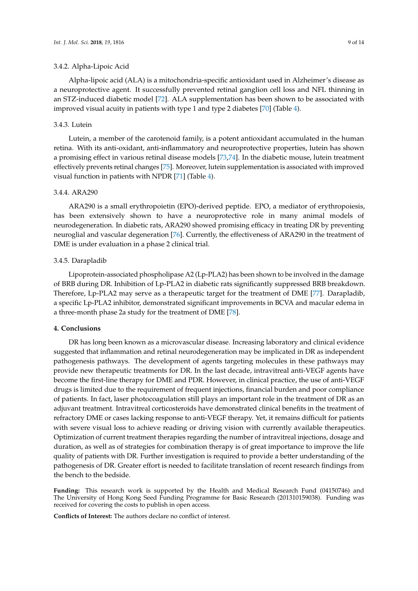Alpha-lipoic acid (ALA) is a mitochondria-specific antioxidant used in Alzheimer's disease as a neuroprotective agent. It successfully prevented retinal ganglion cell loss and NFL thinning in an STZ-induced diabetic model [\[72\]](#page-13-9). ALA supplementation has been shown to be associated with improved visual acuity in patients with type 1 and type 2 diabetes [\[70\]](#page-13-7) (Table [4\)](#page-7-1).

#### 3.4.3. Lutein

Lutein, a member of the carotenoid family, is a potent antioxidant accumulated in the human retina. With its anti-oxidant, anti-inflammatory and neuroprotective properties, lutein has shown a promising effect in various retinal disease models [\[73,](#page-13-10)[74\]](#page-13-11). In the diabetic mouse, lutein treatment effectively prevents retinal changes [\[75\]](#page-13-12). Moreover, lutein supplementation is associated with improved visual function in patients with NPDR [\[71\]](#page-13-8) (Table [4\)](#page-7-1).

### 3.4.4. ARA290

ARA290 is a small erythropoietin (EPO)-derived peptide. EPO, a mediator of erythropoiesis, has been extensively shown to have a neuroprotective role in many animal models of neurodegeneration. In diabetic rats, ARA290 showed promising efficacy in treating DR by preventing neuroglial and vascular degeneration [\[76\]](#page-13-13). Currently, the effectiveness of ARA290 in the treatment of DME is under evaluation in a phase 2 clinical trial.

#### 3.4.5. Darapladib

Lipoprotein-associated phospholipase A2 (Lp-PLA2) has been shown to be involved in the damage of BRB during DR. Inhibition of Lp-PLA2 in diabetic rats significantly suppressed BRB breakdown. Therefore, Lp-PLA2 may serve as a therapeutic target for the treatment of DME [\[77\]](#page-13-14). Darapladib, a specific Lp-PLA2 inhibitor, demonstrated significant improvements in BCVA and macular edema in a three-month phase 2a study for the treatment of DME [\[78\]](#page-13-15).

#### **4. Conclusions**

DR has long been known as a microvascular disease. Increasing laboratory and clinical evidence suggested that inflammation and retinal neurodegeneration may be implicated in DR as independent pathogenesis pathways. The development of agents targeting molecules in these pathways may provide new therapeutic treatments for DR. In the last decade, intravitreal anti-VEGF agents have become the first-line therapy for DME and PDR. However, in clinical practice, the use of anti-VEGF drugs is limited due to the requirement of frequent injections, financial burden and poor compliance of patients. In fact, laser photocoagulation still plays an important role in the treatment of DR as an adjuvant treatment. Intravitreal corticosteroids have demonstrated clinical benefits in the treatment of refractory DME or cases lacking response to anti-VEGF therapy. Yet, it remains difficult for patients with severe visual loss to achieve reading or driving vision with currently available therapeutics. Optimization of current treatment therapies regarding the number of intravitreal injections, dosage and duration, as well as of strategies for combination therapy is of great importance to improve the life quality of patients with DR. Further investigation is required to provide a better understanding of the pathogenesis of DR. Greater effort is needed to facilitate translation of recent research findings from the bench to the bedside.

**Funding:** This research work is supported by the Health and Medical Research Fund (04150746) and The University of Hong Kong Seed Funding Programme for Basic Research (201310159038). Funding was received for covering the costs to publish in open access.

**Conflicts of Interest:** The authors declare no conflict of interest.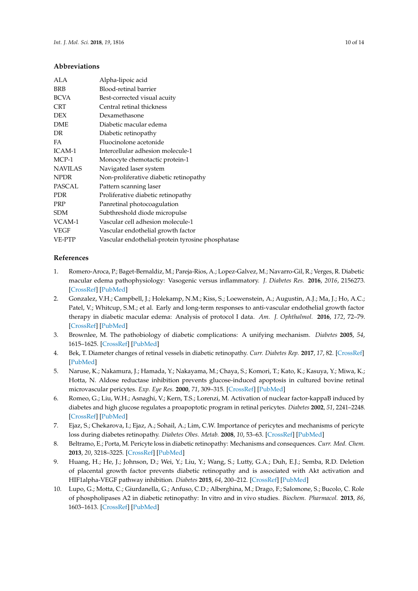# **Abbreviations**

| ALA            | Alpha-lipoic acid                                 |
|----------------|---------------------------------------------------|
| <b>BRB</b>     | Blood-retinal barrier                             |
| <b>BCVA</b>    | Best-corrected visual acuity                      |
| <b>CRT</b>     | Central retinal thickness                         |
| DEX            | Dexamethasone                                     |
| <b>DME</b>     | Diabetic macular edema                            |
| DR.            | Diabetic retinopathy                              |
| FA             | Fluocinolone acetonide                            |
| ICAM-1         | Intercellular adhesion molecule-1                 |
| $MCP-1$        | Monocyte chemotactic protein-1                    |
| <b>NAVILAS</b> | Navigated laser system                            |
| <b>NPDR</b>    | Non-proliferative diabetic retinopathy            |
| <b>PASCAL</b>  | Pattern scanning laser                            |
| <b>PDR</b>     | Proliferative diabetic retinopathy                |
| PRP            | Panretinal photocoagulation                       |
| SDM            | Subthreshold diode micropulse                     |
| VCAM-1         | Vascular cell adhesion molecule-1                 |
| VEGF           | Vascular endothelial growth factor                |
| VE-PTP         | Vascular endothelial-protein tyrosine phosphatase |
|                |                                                   |

# **References**

- <span id="page-9-0"></span>1. Romero-Aroca, P.; Baget-Bernaldiz, M.; Pareja-Rios, A.; Lopez-Galvez, M.; Navarro-Gil, R.; Verges, R. Diabetic macular edema pathophysiology: Vasogenic versus inflammatory. *J. Diabetes Res.* **2016**, *2016*, 2156273. [\[CrossRef\]](http://dx.doi.org/10.1155/2016/2156273) [\[PubMed\]](http://www.ncbi.nlm.nih.gov/pubmed/27761468)
- <span id="page-9-1"></span>2. Gonzalez, V.H.; Campbell, J.; Holekamp, N.M.; Kiss, S.; Loewenstein, A.; Augustin, A.J.; Ma, J.; Ho, A.C.; Patel, V.; Whitcup, S.M.; et al. Early and long-term responses to anti-vascular endothelial growth factor therapy in diabetic macular edema: Analysis of protocol I data. *Am. J. Ophthalmol.* **2016**, *172*, 72–79. [\[CrossRef\]](http://dx.doi.org/10.1016/j.ajo.2016.09.012) [\[PubMed\]](http://www.ncbi.nlm.nih.gov/pubmed/27644589)
- <span id="page-9-2"></span>3. Brownlee, M. The pathobiology of diabetic complications: A unifying mechanism. *Diabetes* **2005**, *54*, 1615–1625. [\[CrossRef\]](http://dx.doi.org/10.2337/diabetes.54.6.1615) [\[PubMed\]](http://www.ncbi.nlm.nih.gov/pubmed/15919781)
- <span id="page-9-3"></span>4. Bek, T. Diameter changes of retinal vessels in diabetic retinopathy. *Curr. Diabetes Rep.* **2017**, *17*, 82. [\[CrossRef\]](http://dx.doi.org/10.1007/s11892-017-0909-9) [\[PubMed\]](http://www.ncbi.nlm.nih.gov/pubmed/28791532)
- <span id="page-9-4"></span>5. Naruse, K.; Nakamura, J.; Hamada, Y.; Nakayama, M.; Chaya, S.; Komori, T.; Kato, K.; Kasuya, Y.; Miwa, K.; Hotta, N. Aldose reductase inhibition prevents glucose-induced apoptosis in cultured bovine retinal microvascular pericytes. *Exp. Eye Res.* **2000**, *71*, 309–315. [\[CrossRef\]](http://dx.doi.org/10.1006/exer.2000.0882) [\[PubMed\]](http://www.ncbi.nlm.nih.gov/pubmed/10973739)
- <span id="page-9-5"></span>6. Romeo, G.; Liu, W.H.; Asnaghi, V.; Kern, T.S.; Lorenzi, M. Activation of nuclear factor-kappaB induced by diabetes and high glucose regulates a proapoptotic program in retinal pericytes. *Diabetes* **2002**, *51*, 2241–2248. [\[CrossRef\]](http://dx.doi.org/10.2337/diabetes.51.7.2241) [\[PubMed\]](http://www.ncbi.nlm.nih.gov/pubmed/12086956)
- <span id="page-9-6"></span>7. Ejaz, S.; Chekarova, I.; Ejaz, A.; Sohail, A.; Lim, C.W. Importance of pericytes and mechanisms of pericyte loss during diabetes retinopathy. *Diabetes Obes. Metab.* **2008**, *10*, 53–63. [\[CrossRef\]](http://dx.doi.org/10.1111/j.1463-1326.2007.00795.x) [\[PubMed\]](http://www.ncbi.nlm.nih.gov/pubmed/17941874)
- <span id="page-9-7"></span>8. Beltramo, E.; Porta, M. Pericyte loss in diabetic retinopathy: Mechanisms and consequences. *Curr. Med. Chem.* **2013**, *20*, 3218–3225. [\[CrossRef\]](http://dx.doi.org/10.2174/09298673113209990022) [\[PubMed\]](http://www.ncbi.nlm.nih.gov/pubmed/23745544)
- <span id="page-9-8"></span>9. Huang, H.; He, J.; Johnson, D.; Wei, Y.; Liu, Y.; Wang, S.; Lutty, G.A.; Duh, E.J.; Semba, R.D. Deletion of placental growth factor prevents diabetic retinopathy and is associated with Akt activation and HIF1alpha-VEGF pathway inhibition. *Diabetes* **2015**, *64*, 200–212. [\[CrossRef\]](http://dx.doi.org/10.2337/db14-0016) [\[PubMed\]](http://www.ncbi.nlm.nih.gov/pubmed/25187372)
- <span id="page-9-9"></span>10. Lupo, G.; Motta, C.; Giurdanella, G.; Anfuso, C.D.; Alberghina, M.; Drago, F.; Salomone, S.; Bucolo, C. Role of phospholipases A2 in diabetic retinopathy: In vitro and in vivo studies. *Biochem. Pharmacol.* **2013**, *86*, 1603–1613. [\[CrossRef\]](http://dx.doi.org/10.1016/j.bcp.2013.09.008) [\[PubMed\]](http://www.ncbi.nlm.nih.gov/pubmed/24076420)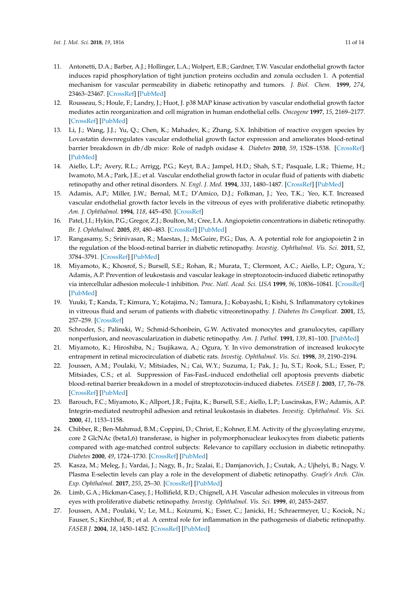- <span id="page-10-0"></span>11. Antonetti, D.A.; Barber, A.J.; Hollinger, L.A.; Wolpert, E.B.; Gardner, T.W. Vascular endothelial growth factor induces rapid phosphorylation of tight junction proteins occludin and zonula occluden 1. A potential mechanism for vascular permeability in diabetic retinopathy and tumors. *J. Biol. Chem.* **1999**, *274*, 23463–23467. [\[CrossRef\]](http://dx.doi.org/10.1074/jbc.274.33.23463) [\[PubMed\]](http://www.ncbi.nlm.nih.gov/pubmed/10438525)
- <span id="page-10-1"></span>12. Rousseau, S.; Houle, F.; Landry, J.; Huot, J. p38 MAP kinase activation by vascular endothelial growth factor mediates actin reorganization and cell migration in human endothelial cells. *Oncogene* **1997**, *15*, 2169–2177. [\[CrossRef\]](http://dx.doi.org/10.1038/sj.onc.1201380) [\[PubMed\]](http://www.ncbi.nlm.nih.gov/pubmed/9393975)
- <span id="page-10-2"></span>13. Li, J.; Wang, J.J.; Yu, Q.; Chen, K.; Mahadev, K.; Zhang, S.X. Inhibition of reactive oxygen species by Lovastatin downregulates vascular endothelial growth factor expression and ameliorates blood-retinal barrier breakdown in db/db mice: Role of nadph oxidase 4. *Diabetes* **2010**, *59*, 1528–1538. [\[CrossRef\]](http://dx.doi.org/10.2337/db09-1057) [\[PubMed\]](http://www.ncbi.nlm.nih.gov/pubmed/20332345)
- 14. Aiello, L.P.; Avery, R.L.; Arrigg, P.G.; Keyt, B.A.; Jampel, H.D.; Shah, S.T.; Pasquale, L.R.; Thieme, H.; Iwamoto, M.A.; Park, J.E.; et al. Vascular endothelial growth factor in ocular fluid of patients with diabetic retinopathy and other retinal disorders. *N. Engl. J. Med.* **1994**, *331*, 1480–1487. [\[CrossRef\]](http://dx.doi.org/10.1056/NEJM199412013312203) [\[PubMed\]](http://www.ncbi.nlm.nih.gov/pubmed/7526212)
- <span id="page-10-3"></span>15. Adamis, A.P.; Miller, J.W.; Bernal, M.T.; D'Amico, D.J.; Folkman, J.; Yeo, T.K.; Yeo, K.T. Increased vascular endothelial growth factor levels in the vitreous of eyes with proliferative diabetic retinopathy. *Am. J. Ophthalmol.* **1994**, *118*, 445–450. [\[CrossRef\]](http://dx.doi.org/10.1016/S0002-9394(14)75794-0)
- <span id="page-10-4"></span>16. Patel, J.I.; Hykin, P.G.; Gregor, Z.J.; Boulton, M.; Cree, I.A. Angiopoietin concentrations in diabetic retinopathy. *Br. J. Ophthalmol.* **2005**, *89*, 480–483. [\[CrossRef\]](http://dx.doi.org/10.1136/bjo.2004.049940) [\[PubMed\]](http://www.ncbi.nlm.nih.gov/pubmed/15774928)
- <span id="page-10-5"></span>17. Rangasamy, S.; Srinivasan, R.; Maestas, J.; McGuire, P.G.; Das, A. A potential role for angiopoietin 2 in the regulation of the blood-retinal barrier in diabetic retinopathy. *Investig. Ophthalmol. Vis. Sci.* **2011**, *52*, 3784–3791. [\[CrossRef\]](http://dx.doi.org/10.1167/iovs.10-6386) [\[PubMed\]](http://www.ncbi.nlm.nih.gov/pubmed/21310918)
- <span id="page-10-6"></span>18. Miyamoto, K.; Khosrof, S.; Bursell, S.E.; Rohan, R.; Murata, T.; Clermont, A.C.; Aiello, L.P.; Ogura, Y.; Adamis, A.P. Prevention of leukostasis and vascular leakage in streptozotocin-induced diabetic retinopathy via intercellular adhesion molecule-1 inhibition. *Proc. Natl. Acad. Sci. USA* **1999**, *96*, 10836–10841. [\[CrossRef\]](http://dx.doi.org/10.1073/pnas.96.19.10836) [\[PubMed\]](http://www.ncbi.nlm.nih.gov/pubmed/10485912)
- <span id="page-10-7"></span>19. Yuuki, T.; Kanda, T.; Kimura, Y.; Kotajima, N.; Tamura, J.; Kobayashi, I.; Kishi, S. Inflammatory cytokines in vitreous fluid and serum of patients with diabetic vitreoretinopathy. *J. Diabetes Its Complicat.* **2001**, *15*, 257–259. [\[CrossRef\]](http://dx.doi.org/10.1016/S1056-8727(01)00155-6)
- <span id="page-10-8"></span>20. Schroder, S.; Palinski, W.; Schmid-Schonbein, G.W. Activated monocytes and granulocytes, capillary nonperfusion, and neovascularization in diabetic retinopathy. *Am. J. Pathol.* **1991**, *139*, 81–100. [\[PubMed\]](http://www.ncbi.nlm.nih.gov/pubmed/1713023)
- <span id="page-10-9"></span>21. Miyamoto, K.; Hiroshiba, N.; Tsujikawa, A.; Ogura, Y. In vivo demonstration of increased leukocyte entrapment in retinal microcirculation of diabetic rats. *Investig. Ophthalmol. Vis. Sci.* **1998**, *39*, 2190–2194.
- <span id="page-10-10"></span>22. Joussen, A.M.; Poulaki, V.; Mitsiades, N.; Cai, W.Y.; Suzuma, I.; Pak, J.; Ju, S.T.; Rook, S.L.; Esser, P.; Mitsiades, C.S.; et al. Suppression of Fas-FasL-induced endothelial cell apoptosis prevents diabetic blood-retinal barrier breakdown in a model of streptozotocin-induced diabetes. *FASEB J.* **2003**, *17*, 76–78. [\[CrossRef\]](http://dx.doi.org/10.1096/fj.02-0157fje) [\[PubMed\]](http://www.ncbi.nlm.nih.gov/pubmed/12475915)
- <span id="page-10-11"></span>23. Barouch, F.C.; Miyamoto, K.; Allport, J.R.; Fujita, K.; Bursell, S.E.; Aiello, L.P.; Luscinskas, F.W.; Adamis, A.P. Integrin-mediated neutrophil adhesion and retinal leukostasis in diabetes. *Investig. Ophthalmol. Vis. Sci.* **2000**, *41*, 1153–1158.
- <span id="page-10-12"></span>24. Chibber, R.; Ben-Mahmud, B.M.; Coppini, D.; Christ, E.; Kohner, E.M. Activity of the glycosylating enzyme, core 2 GlcNAc (beta1,6) transferase, is higher in polymorphonuclear leukocytes from diabetic patients compared with age-matched control subjects: Relevance to capillary occlusion in diabetic retinopathy. *Diabetes* **2000**, *49*, 1724–1730. [\[CrossRef\]](http://dx.doi.org/10.2337/diabetes.49.10.1724) [\[PubMed\]](http://www.ncbi.nlm.nih.gov/pubmed/11016457)
- <span id="page-10-13"></span>25. Kasza, M.; Meleg, J.; Vardai, J.; Nagy, B., Jr.; Szalai, E.; Damjanovich, J.; Csutak, A.; Ujhelyi, B.; Nagy, V. Plasma E-selectin levels can play a role in the development of diabetic retinopathy. *Graefe's Arch. Clin. Exp. Ophthalmol.* **2017**, *255*, 25–30. [\[CrossRef\]](http://dx.doi.org/10.1007/s00417-016-3411-1) [\[PubMed\]](http://www.ncbi.nlm.nih.gov/pubmed/27377657)
- <span id="page-10-14"></span>26. Limb, G.A.; Hickman-Casey, J.; Hollifield, R.D.; Chignell, A.H. Vascular adhesion molecules in vitreous from eyes with proliferative diabetic retinopathy. *Investig. Ophthalmol. Vis. Sci.* **1999**, *40*, 2453–2457.
- <span id="page-10-15"></span>27. Joussen, A.M.; Poulaki, V.; Le, M.L.; Koizumi, K.; Esser, C.; Janicki, H.; Schraermeyer, U.; Kociok, N.; Fauser, S.; Kirchhof, B.; et al. A central role for inflammation in the pathogenesis of diabetic retinopathy. *FASEB J.* **2004**, *18*, 1450–1452. [\[CrossRef\]](http://dx.doi.org/10.1096/fj.03-1476fje) [\[PubMed\]](http://www.ncbi.nlm.nih.gov/pubmed/15231732)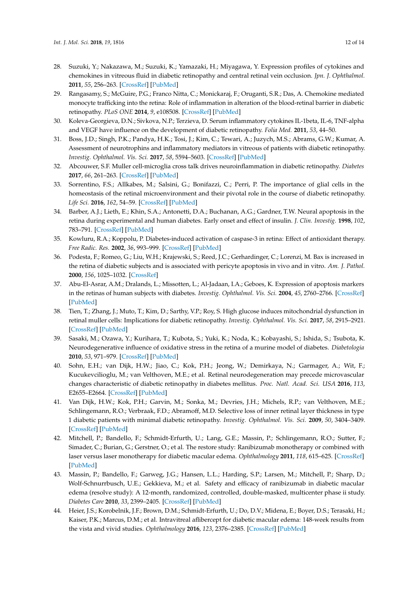- <span id="page-11-0"></span>28. Suzuki, Y.; Nakazawa, M.; Suzuki, K.; Yamazaki, H.; Miyagawa, Y. Expression profiles of cytokines and chemokines in vitreous fluid in diabetic retinopathy and central retinal vein occlusion. *Jpn. J. Ophthalmol.* **2011**, *55*, 256–263. [\[CrossRef\]](http://dx.doi.org/10.1007/s10384-011-0004-8) [\[PubMed\]](http://www.ncbi.nlm.nih.gov/pubmed/21538000)
- <span id="page-11-1"></span>29. Rangasamy, S.; McGuire, P.G.; Franco Nitta, C.; Monickaraj, F.; Oruganti, S.R.; Das, A. Chemokine mediated monocyte trafficking into the retina: Role of inflammation in alteration of the blood-retinal barrier in diabetic retinopathy. *PLoS ONE* **2014**, *9*, e108508. [\[CrossRef\]](http://dx.doi.org/10.1371/journal.pone.0108508) [\[PubMed\]](http://www.ncbi.nlm.nih.gov/pubmed/25329075)
- <span id="page-11-2"></span>30. Koleva-Georgieva, D.N.; Sivkova, N.P.; Terzieva, D. Serum inflammatory cytokines IL-1beta, IL-6, TNF-alpha and VEGF have influence on the development of diabetic retinopathy. *Folia Med.* **2011**, *53*, 44–50.
- <span id="page-11-3"></span>31. Boss, J.D.; Singh, P.K.; Pandya, H.K.; Tosi, J.; Kim, C.; Tewari, A.; Juzych, M.S.; Abrams, G.W.; Kumar, A. Assessment of neurotrophins and inflammatory mediators in vitreous of patients with diabetic retinopathy. *Investig. Ophthalmol. Vis. Sci.* **2017**, *58*, 5594–5603. [\[CrossRef\]](http://dx.doi.org/10.1167/iovs.17-21973) [\[PubMed\]](http://www.ncbi.nlm.nih.gov/pubmed/29084332)
- <span id="page-11-4"></span>32. Abcouwer, S.F. Muller cell-microglia cross talk drives neuroinflammation in diabetic retinopathy. *Diabetes* **2017**, *66*, 261–263. [\[CrossRef\]](http://dx.doi.org/10.2337/dbi16-0047) [\[PubMed\]](http://www.ncbi.nlm.nih.gov/pubmed/28108606)
- <span id="page-11-5"></span>33. Sorrentino, F.S.; Allkabes, M.; Salsini, G.; Bonifazzi, C.; Perri, P. The importance of glial cells in the homeostasis of the retinal microenvironment and their pivotal role in the course of diabetic retinopathy. *Life Sci.* **2016**, *162*, 54–59. [\[CrossRef\]](http://dx.doi.org/10.1016/j.lfs.2016.08.001) [\[PubMed\]](http://www.ncbi.nlm.nih.gov/pubmed/27497914)
- <span id="page-11-6"></span>34. Barber, A.J.; Lieth, E.; Khin, S.A.; Antonetti, D.A.; Buchanan, A.G.; Gardner, T.W. Neural apoptosis in the retina during experimental and human diabetes. Early onset and effect of insulin. *J. Clin. Investig.* **1998**, *102*, 783–791. [\[CrossRef\]](http://dx.doi.org/10.1172/JCI2425) [\[PubMed\]](http://www.ncbi.nlm.nih.gov/pubmed/9710447)
- <span id="page-11-7"></span>35. Kowluru, R.A.; Koppolu, P. Diabetes-induced activation of caspase-3 in retina: Effect of antioxidant therapy. *Free Radic. Res.* **2002**, *36*, 993–999. [\[CrossRef\]](http://dx.doi.org/10.1080/1071576021000006572) [\[PubMed\]](http://www.ncbi.nlm.nih.gov/pubmed/12448825)
- 36. Podesta, F.; Romeo, G.; Liu, W.H.; Krajewski, S.; Reed, J.C.; Gerhardinger, C.; Lorenzi, M. Bax is increased in the retina of diabetic subjects and is associated with pericyte apoptosis in vivo and in vitro. *Am. J. Pathol.* **2000**, *156*, 1025–1032. [\[CrossRef\]](http://dx.doi.org/10.1016/S0002-9440(10)64970-X)
- <span id="page-11-8"></span>37. Abu-El-Asrar, A.M.; Dralands, L.; Missotten, L.; Al-Jadaan, I.A.; Geboes, K. Expression of apoptosis markers in the retinas of human subjects with diabetes. *Investig. Ophthalmol. Vis. Sci.* **2004**, *45*, 2760–2766. [\[CrossRef\]](http://dx.doi.org/10.1167/iovs.03-1392) [\[PubMed\]](http://www.ncbi.nlm.nih.gov/pubmed/15277502)
- <span id="page-11-9"></span>38. Tien, T.; Zhang, J.; Muto, T.; Kim, D.; Sarthy, V.P.; Roy, S. High glucose induces mitochondrial dysfunction in retinal muller cells: Implications for diabetic retinopathy. *Investig. Ophthalmol. Vis. Sci.* **2017**, *58*, 2915–2921. [\[CrossRef\]](http://dx.doi.org/10.1167/iovs.16-21355) [\[PubMed\]](http://www.ncbi.nlm.nih.gov/pubmed/28586916)
- <span id="page-11-10"></span>39. Sasaki, M.; Ozawa, Y.; Kurihara, T.; Kubota, S.; Yuki, K.; Noda, K.; Kobayashi, S.; Ishida, S.; Tsubota, K. Neurodegenerative influence of oxidative stress in the retina of a murine model of diabetes. *Diabetologia* **2010**, *53*, 971–979. [\[CrossRef\]](http://dx.doi.org/10.1007/s00125-009-1655-6) [\[PubMed\]](http://www.ncbi.nlm.nih.gov/pubmed/20162412)
- <span id="page-11-11"></span>40. Sohn, E.H.; van Dijk, H.W.; Jiao, C.; Kok, P.H.; Jeong, W.; Demirkaya, N.; Garmager, A.; Wit, F.; Kucukevcilioglu, M.; van Velthoven, M.E.; et al. Retinal neurodegeneration may precede microvascular changes characteristic of diabetic retinopathy in diabetes mellitus. *Proc. Natl. Acad. Sci. USA* **2016**, *113*, E2655–E2664. [\[CrossRef\]](http://dx.doi.org/10.1073/pnas.1522014113) [\[PubMed\]](http://www.ncbi.nlm.nih.gov/pubmed/27114552)
- <span id="page-11-12"></span>41. Van Dijk, H.W.; Kok, P.H.; Garvin, M.; Sonka, M.; Devries, J.H.; Michels, R.P.; van Velthoven, M.E.; Schlingemann, R.O.; Verbraak, F.D.; Abramoff, M.D. Selective loss of inner retinal layer thickness in type 1 diabetic patients with minimal diabetic retinopathy. *Investig. Ophthalmol. Vis. Sci.* **2009**, *50*, 3404–3409. [\[CrossRef\]](http://dx.doi.org/10.1167/iovs.08-3143) [\[PubMed\]](http://www.ncbi.nlm.nih.gov/pubmed/19151397)
- <span id="page-11-13"></span>42. Mitchell, P.; Bandello, F.; Schmidt-Erfurth, U.; Lang, G.E.; Massin, P.; Schlingemann, R.O.; Sutter, F.; Simader, C.; Burian, G.; Gerstner, O.; et al. The restore study: Ranibizumab monotherapy or combined with laser versus laser monotherapy for diabetic macular edema. *Ophthalmology* **2011**, *118*, 615–625. [\[CrossRef\]](http://dx.doi.org/10.1016/j.ophtha.2011.01.031) [\[PubMed\]](http://www.ncbi.nlm.nih.gov/pubmed/21459215)
- <span id="page-11-14"></span>43. Massin, P.; Bandello, F.; Garweg, J.G.; Hansen, L.L.; Harding, S.P.; Larsen, M.; Mitchell, P.; Sharp, D.; Wolf-Schnurrbusch, U.E.; Gekkieva, M.; et al. Safety and efficacy of ranibizumab in diabetic macular edema (resolve study): A 12-month, randomized, controlled, double-masked, multicenter phase ii study. *Diabetes Care* **2010**, *33*, 2399–2405. [\[CrossRef\]](http://dx.doi.org/10.2337/dc10-0493) [\[PubMed\]](http://www.ncbi.nlm.nih.gov/pubmed/20980427)
- <span id="page-11-15"></span>44. Heier, J.S.; Korobelnik, J.F.; Brown, D.M.; Schmidt-Erfurth, U.; Do, D.V.; Midena, E.; Boyer, D.S.; Terasaki, H.; Kaiser, P.K.; Marcus, D.M.; et al. Intravitreal aflibercept for diabetic macular edema: 148-week results from the vista and vivid studies. *Ophthalmology* **2016**, *123*, 2376–2385. [\[CrossRef\]](http://dx.doi.org/10.1016/j.ophtha.2016.07.032) [\[PubMed\]](http://www.ncbi.nlm.nih.gov/pubmed/27651226)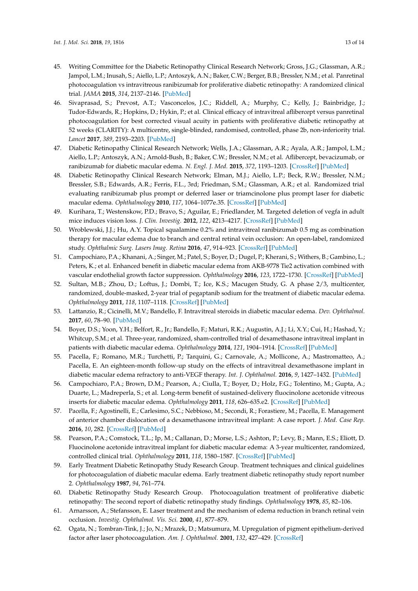- <span id="page-12-0"></span>45. Writing Committee for the Diabetic Retinopathy Clinical Research Network; Gross, J.G.; Glassman, A.R.; Jampol, L.M.; Inusah, S.; Aiello, L.P.; Antoszyk, A.N.; Baker, C.W.; Berger, B.B.; Bressler, N.M.; et al. Panretinal photocoagulation vs intravitreous ranibizumab for proliferative diabetic retinopathy: A randomized clinical trial. *JAMA* **2015**, *314*, 2137–2146. [\[PubMed\]](http://www.ncbi.nlm.nih.gov/pubmed/26565927)
- <span id="page-12-1"></span>46. Sivaprasad, S.; Prevost, A.T.; Vasconcelos, J.C.; Riddell, A.; Murphy, C.; Kelly, J.; Bainbridge, J.; Tudor-Edwards, R.; Hopkins, D.; Hykin, P.; et al. Clinical efficacy of intravitreal aflibercept versus panretinal photocoagulation for best corrected visual acuity in patients with proliferative diabetic retinopathy at 52 weeks (CLARITY): A multicentre, single-blinded, randomised, controlled, phase 2b, non-inferiority trial. *Lancet* **2017**, *389*, 2193–2203. [\[PubMed\]](http://www.ncbi.nlm.nih.gov/pubmed/28494920)
- <span id="page-12-2"></span>47. Diabetic Retinopathy Clinical Research Network; Wells, J.A.; Glassman, A.R.; Ayala, A.R.; Jampol, L.M.; Aiello, L.P.; Antoszyk, A.N.; Arnold-Bush, B.; Baker, C.W.; Bressler, N.M.; et al. Aflibercept, bevacizumab, or ranibizumab for diabetic macular edema. *N. Engl. J. Med.* **2015**, *372*, 1193–1203. [\[CrossRef\]](http://dx.doi.org/10.1016/j.ophtha.2016.02.022) [\[PubMed\]](http://www.ncbi.nlm.nih.gov/pubmed/26935357)
- <span id="page-12-3"></span>48. Diabetic Retinopathy Clinical Research Network; Elman, M.J.; Aiello, L.P.; Beck, R.W.; Bressler, N.M.; Bressler, S.B.; Edwards, A.R.; Ferris, F.L., 3rd; Friedman, S.M.; Glassman, A.R.; et al. Randomized trial evaluating ranibizumab plus prompt or deferred laser or triamcinolone plus prompt laser for diabetic macular edema. *Ophthalmology* **2010**, *117*, 1064–1077e.35. [\[CrossRef\]](http://dx.doi.org/10.1016/j.ophtha.2010.02.031) [\[PubMed\]](http://www.ncbi.nlm.nih.gov/pubmed/20427088)
- <span id="page-12-4"></span>49. Kurihara, T.; Westenskow, P.D.; Bravo, S.; Aguilar, E.; Friedlander, M. Targeted deletion of vegfa in adult mice induces vision loss. *J. Clin. Investig.* **2012**, *122*, 4213–4217. [\[CrossRef\]](http://dx.doi.org/10.1172/JCI65157) [\[PubMed\]](http://www.ncbi.nlm.nih.gov/pubmed/23093773)
- <span id="page-12-5"></span>50. Wroblewski, J.J.; Hu, A.Y. Topical squalamine 0.2% and intravitreal ranibizumab 0.5 mg as combination therapy for macular edema due to branch and central retinal vein occlusion: An open-label, randomized study. *Ophthalmic Surg. Lasers Imag. Retina* **2016**, *47*, 914–923. [\[CrossRef\]](http://dx.doi.org/10.3928/23258160-20161004-04) [\[PubMed\]](http://www.ncbi.nlm.nih.gov/pubmed/27759857)
- <span id="page-12-6"></span>51. Campochiaro, P.A.; Khanani, A.; Singer, M.; Patel, S.; Boyer, D.; Dugel, P.; Kherani, S.; Withers, B.; Gambino, L.; Peters, K.; et al. Enhanced benefit in diabetic macular edema from AKB-9778 Tie2 activation combined with vascular endothelial growth factor suppression. *Ophthalmology* **2016**, *123*, 1722–1730. [\[CrossRef\]](http://dx.doi.org/10.1016/j.ophtha.2016.04.025) [\[PubMed\]](http://www.ncbi.nlm.nih.gov/pubmed/27236272)
- <span id="page-12-7"></span>52. Sultan, M.B.; Zhou, D.; Loftus, J.; Dombi, T.; Ice, K.S.; Macugen Study, G. A phase 2/3, multicenter, randomized, double-masked, 2-year trial of pegaptanib sodium for the treatment of diabetic macular edema. *Ophthalmology* **2011**, *118*, 1107–1118. [\[CrossRef\]](http://dx.doi.org/10.1016/j.ophtha.2011.02.045) [\[PubMed\]](http://www.ncbi.nlm.nih.gov/pubmed/21529957)
- <span id="page-12-8"></span>53. Lattanzio, R.; Cicinelli, M.V.; Bandello, F. Intravitreal steroids in diabetic macular edema. *Dev. Ophthalmol.* **2017**, *60*, 78–90. [\[PubMed\]](http://www.ncbi.nlm.nih.gov/pubmed/28427068)
- <span id="page-12-9"></span>54. Boyer, D.S.; Yoon, Y.H.; Belfort, R., Jr.; Bandello, F.; Maturi, R.K.; Augustin, A.J.; Li, X.Y.; Cui, H.; Hashad, Y.; Whitcup, S.M.; et al. Three-year, randomized, sham-controlled trial of dexamethasone intravitreal implant in patients with diabetic macular edema. *Ophthalmology* **2014**, *121*, 1904–1914. [\[CrossRef\]](http://dx.doi.org/10.1016/j.ophtha.2014.04.024) [\[PubMed\]](http://www.ncbi.nlm.nih.gov/pubmed/24907062)
- <span id="page-12-10"></span>55. Pacella, F.; Romano, M.R.; Turchetti, P.; Tarquini, G.; Carnovale, A.; Mollicone, A.; Mastromatteo, A.; Pacella, E. An eighteen-month follow-up study on the effects of intravitreal dexamethasone implant in diabetic macular edema refractory to anti-VEGF therapy. *Int. J. Ophthalmol.* **2016**, *9*, 1427–1432. [\[PubMed\]](http://www.ncbi.nlm.nih.gov/pubmed/27803859)
- <span id="page-12-11"></span>56. Campochiaro, P.A.; Brown, D.M.; Pearson, A.; Ciulla, T.; Boyer, D.; Holz, F.G.; Tolentino, M.; Gupta, A.; Duarte, L.; Madreperla, S.; et al. Long-term benefit of sustained-delivery fluocinolone acetonide vitreous inserts for diabetic macular edema. *Ophthalmology* **2011**, *118*, 626–635.e2. [\[CrossRef\]](http://dx.doi.org/10.1016/j.ophtha.2010.12.028) [\[PubMed\]](http://www.ncbi.nlm.nih.gov/pubmed/21459216)
- <span id="page-12-12"></span>57. Pacella, F.; Agostinelli, E.; Carlesimo, S.C.; Nebbioso, M.; Secondi, R.; Forastiere, M.; Pacella, E. Management of anterior chamber dislocation of a dexamethasone intravitreal implant: A case report. *J. Med. Case Rep.* **2016**, *10*, 282. [\[CrossRef\]](http://dx.doi.org/10.1186/s13256-016-1077-2) [\[PubMed\]](http://www.ncbi.nlm.nih.gov/pubmed/27733187)
- <span id="page-12-13"></span>58. Pearson, P.A.; Comstock, T.L.; Ip, M.; Callanan, D.; Morse, L.S.; Ashton, P.; Levy, B.; Mann, E.S.; Eliott, D. Fluocinolone acetonide intravitreal implant for diabetic macular edema: A 3-year multicenter, randomized, controlled clinical trial. *Ophthalmology* **2011**, *118*, 1580–1587. [\[CrossRef\]](http://dx.doi.org/10.1016/j.ophtha.2011.02.048) [\[PubMed\]](http://www.ncbi.nlm.nih.gov/pubmed/21813090)
- <span id="page-12-14"></span>59. Early Treatment Diabetic Retinopathy Study Research Group. Treatment techniques and clinical guidelines for photocoagulation of diabetic macular edema. Early treatment diabetic retinopathy study report number 2. *Ophthalmology* **1987**, *94*, 761–774.
- <span id="page-12-15"></span>60. Diabetic Retinopathy Study Research Group. Photocoagulation treatment of proliferative diabetic retinopathy: The second report of diabetic retinopathy study findings. *Ophthalmology* **1978**, *85*, 82–106.
- <span id="page-12-16"></span>61. Arnarsson, A.; Stefansson, E. Laser treatment and the mechanism of edema reduction in branch retinal vein occlusion. *Investig. Ophthalmol. Vis. Sci.* **2000**, *41*, 877–879.
- <span id="page-12-17"></span>62. Ogata, N.; Tombran-Tink, J.; Jo, N.; Mrazek, D.; Matsumura, M. Upregulation of pigment epithelium-derived factor after laser photocoagulation. *Am. J. Ophthalmol.* **2001**, *132*, 427–429. [\[CrossRef\]](http://dx.doi.org/10.1016/S0002-9394(01)01021-2)